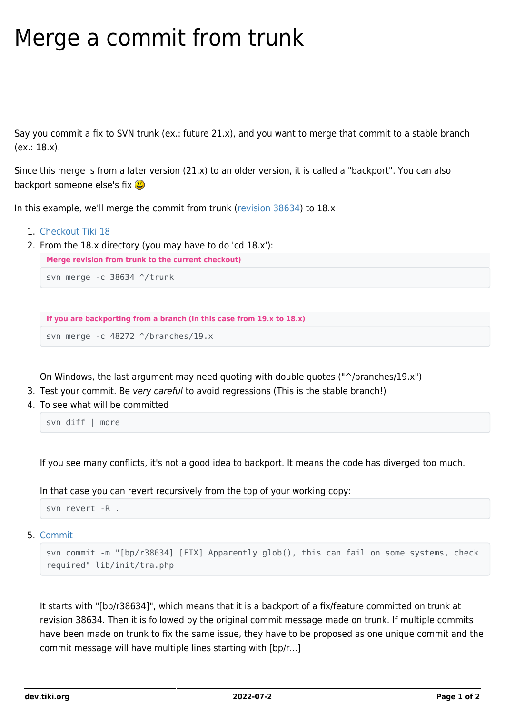## Merge a commit from trunk

Say you commit a fix to SVN trunk (ex.: future 21.x), and you want to merge that commit to a stable branch (ex.: 18.x).

Since this merge is from a later version (21.x) to an older version, it is called a "backport". You can also backport someone else's fix  $\mathbf{G}$ 

In this example, we'll merge the commit from trunk [\(revision 38634\)](https://sourceforge.net/p/tikiwiki/code/38634) to 18.x

- 1. [Checkout Tiki 18](https://dev.tiki.org/Get-code)
- 2. From the 18.x directory (you may have to do 'cd 18.x'):

**Merge revision from trunk to the current checkout)**

svn merge -c 38634 ^/trunk

```
If you are backporting from a branch (in this case from 19.x to 18.x)
```
svn merge -c 48272 ^/branches/19.x

On Windows, the last argument may need quoting with double quotes ("^/branches/19.x")

- 3. Test your commit. Be very careful to avoid regressions (This is the stable branch!)
- 4. To see what will be committed

svn diff | more

If you see many conflicts, it's not a good idea to backport. It means the code has diverged too much.

In that case you can revert recursively from the top of your working copy:

svn revert -R .

5. [Commit](https://dev.tiki.org/Commit)

```
svn commit -m "[bp/r38634] [FIX] Apparently glob(), this can fail on some systems, check
required" lib/init/tra.php
```
It starts with "[bp/r38634]", which means that it is a backport of a fix/feature committed on trunk at revision 38634. Then it is followed by the original commit message made on trunk. If multiple commits have been made on trunk to fix the same issue, they have to be proposed as one unique commit and the commit message will have multiple lines starting with [bp/r...]